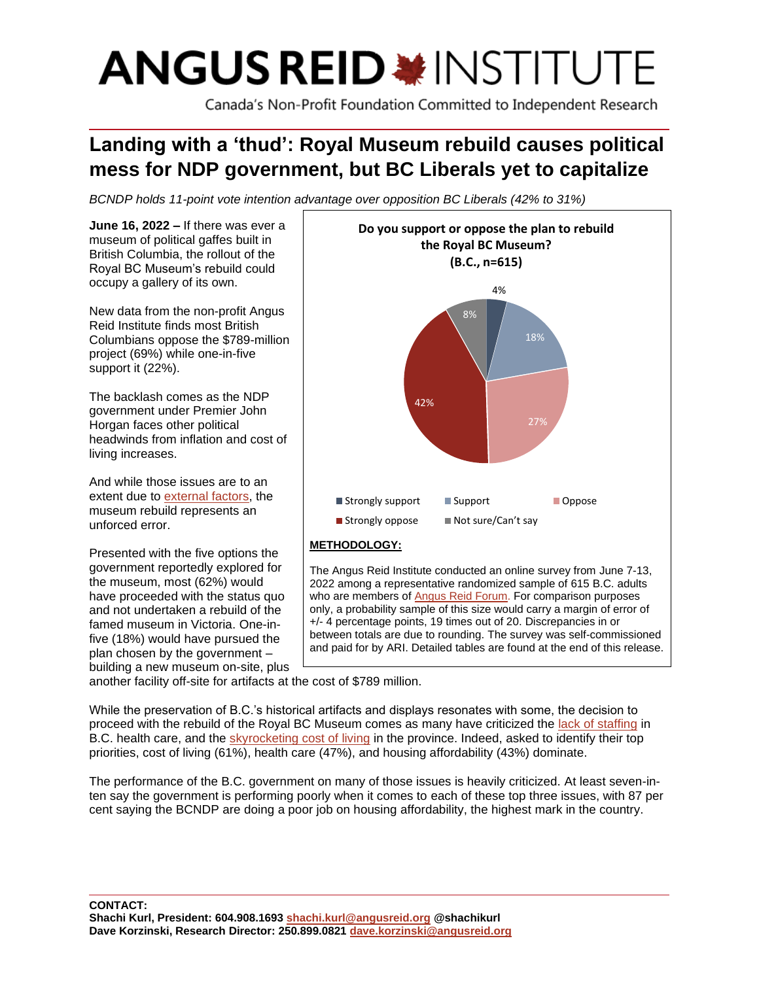# **ANGUS REID \*INSTITUTE**

Canada's Non-Profit Foundation Committed to Independent Research

# **Landing with a 'thud': Royal Museum rebuild causes political mess for NDP government, but BC Liberals yet to capitalize**

*BCNDP holds 11-point vote intention advantage over opposition BC Liberals (42% to 31%)*

**June 16, 2022 –** If there was ever a museum of political gaffes built in British Columbia, the rollout of the Royal BC Museum's rebuild could occupy a gallery of its own.

New data from the non-profit Angus Reid Institute finds most British Columbians oppose the \$789-million project (69%) while one-in-five support it (22%).

The backlash comes as the NDP government under Premier John Horgan faces other political headwinds from inflation and cost of living increases.

And while those issues are to an extent due to [external factors,](https://www.mcgill.ca/newsroom/channels/news/experts-canadian-inflation-hits-new-three-decade-high-337881) the museum rebuild represents an unforced error.

Presented with the five options the government reportedly explored for the museum, most (62%) would have proceeded with the status quo and not undertaken a rebuild of the famed museum in Victoria. One-infive (18%) would have pursued the plan chosen by the government – building a new museum on-site, plus



The Angus Reid Institute conducted an online survey from June 7-13, 2022 among a representative randomized sample of 615 B.C. adults who are members of [Angus](http://www.angusreidforum.com/) Reid Forum. For comparison purposes only, a probability sample of this size would carry a margin of error of +/- 4 percentage points, 19 times out of 20. Discrepancies in or between totals are due to rounding. The survey was self-commissioned and paid for by ARI. Detailed tables are found at the end of this release.

another facility off-site for artifacts at the cost of \$789 million.

While the preservation of B.C.'s historical artifacts and displays resonates with some, the decision to proceed with the rebuild of the Royal BC Museum comes as many have criticized the [lack of staffing](https://www.cbc.ca/news/canada/british-columbia/bc-upcc-critics-1.6467839) in B.C. health care, and the [skyrocketing cost of living](https://www2.gov.bc.ca/assets/gov/data/statistics/economy/cpi/cpi_highlights.pdf) in the province. Indeed, asked to identify their top priorities, cost of living (61%), health care (47%), and housing affordability (43%) dominate.

The performance of the B.C. government on many of those issues is heavily criticized. At least seven-inten say the government is performing poorly when it comes to each of these top three issues, with 87 per cent saying the BCNDP are doing a poor job on housing affordability, the highest mark in the country.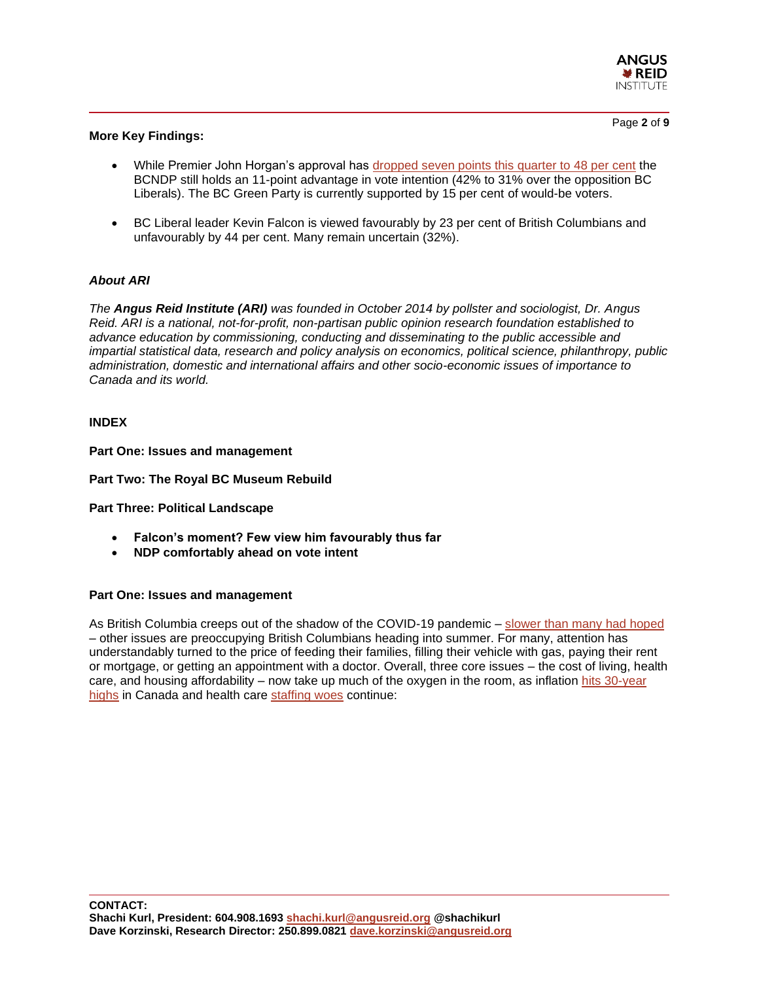

#### **More Key Findings:**

- While Premier John Horgan's approval has [dropped seven points this quarter to 48 per cent](https://angusreid.org/premiers-performance-june-2022/) the BCNDP still holds an 11-point advantage in vote intention (42% to 31% over the opposition BC Liberals). The BC Green Party is currently supported by 15 per cent of would-be voters.
- BC Liberal leader Kevin Falcon is viewed favourably by 23 per cent of British Columbians and unfavourably by 44 per cent. Many remain uncertain (32%).

# *About ARI*

*The Angus Reid Institute (ARI) was founded in October 2014 by pollster and sociologist, Dr. Angus Reid. ARI is a national, not-for-profit, non-partisan public opinion research foundation established to advance education by commissioning, conducting and disseminating to the public accessible and impartial statistical data, research and policy analysis on economics, political science, philanthropy, public administration, domestic and international affairs and other socio-economic issues of importance to Canada and its world.*

#### **INDEX**

**Part One: Issues and management**

**Part Two: The Royal BC Museum Rebuild**

**Part Three: Political Landscape**

- **Falcon's moment? Few view him favourably thus far**
- **NDP comfortably ahead on vote intent**

#### **Part One: Issues and management**

As British Columbia creeps out of the shadow of the COVID-19 pandemic – slower [than many had hoped](https://www.ctvnews.ca/health/coronavirus/tracking-every-case-of-covid-19-in-canada-1.4852102) – other issues are preoccupying British Columbians heading into summer. For many, attention has understandably turned to the price of feeding their families, filling their vehicle with gas, paying their rent or mortgage, or getting an appointment with a doctor. Overall, three core issues – the cost of living, health care, and housing affordability – now take up much of the oxygen in the room, as inflation [hits 30-year](https://tradingeconomics.com/canada/inflation-cpi)  [highs](https://tradingeconomics.com/canada/inflation-cpi) in Canada and health care [staffing woes](https://www.cbc.ca/news/canada/british-columbia/bc-upcc-critics-1.6467839) continue: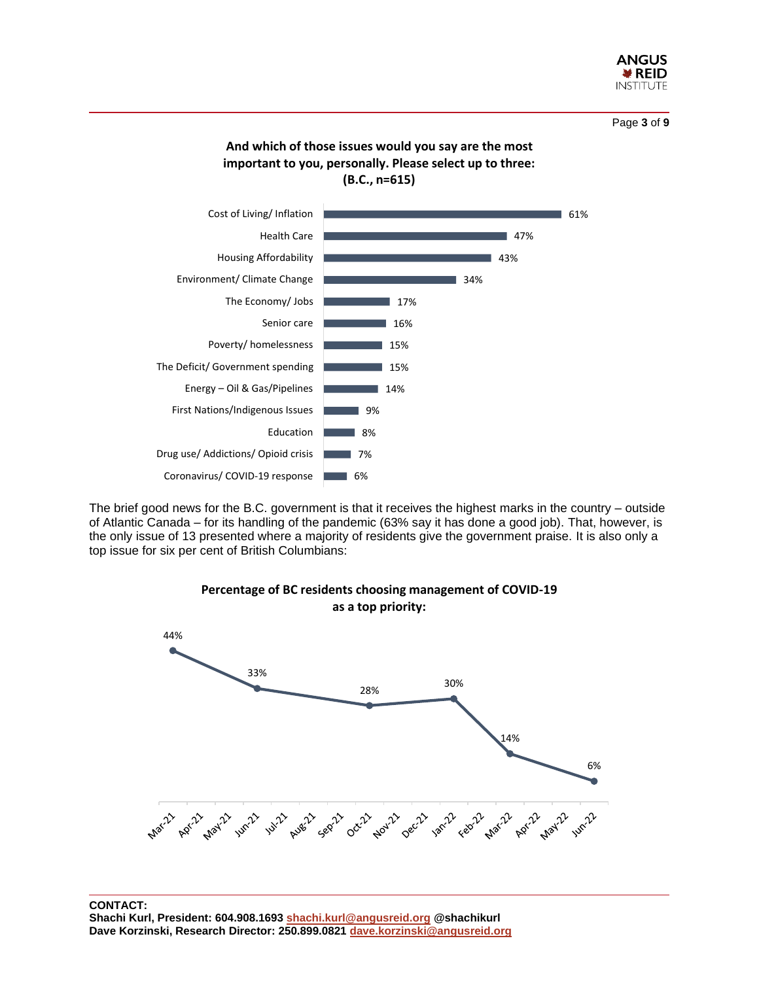

Page **3** of **9**





The brief good news for the B.C. government is that it receives the highest marks in the country – outside of Atlantic Canada – for its handling of the pandemic (63% say it has done a good job). That, however, is the only issue of 13 presented where a majority of residents give the government praise. It is also only a top issue for six per cent of British Columbians:



# **Percentage of BC residents choosing management of COVID-19 as a top priority:**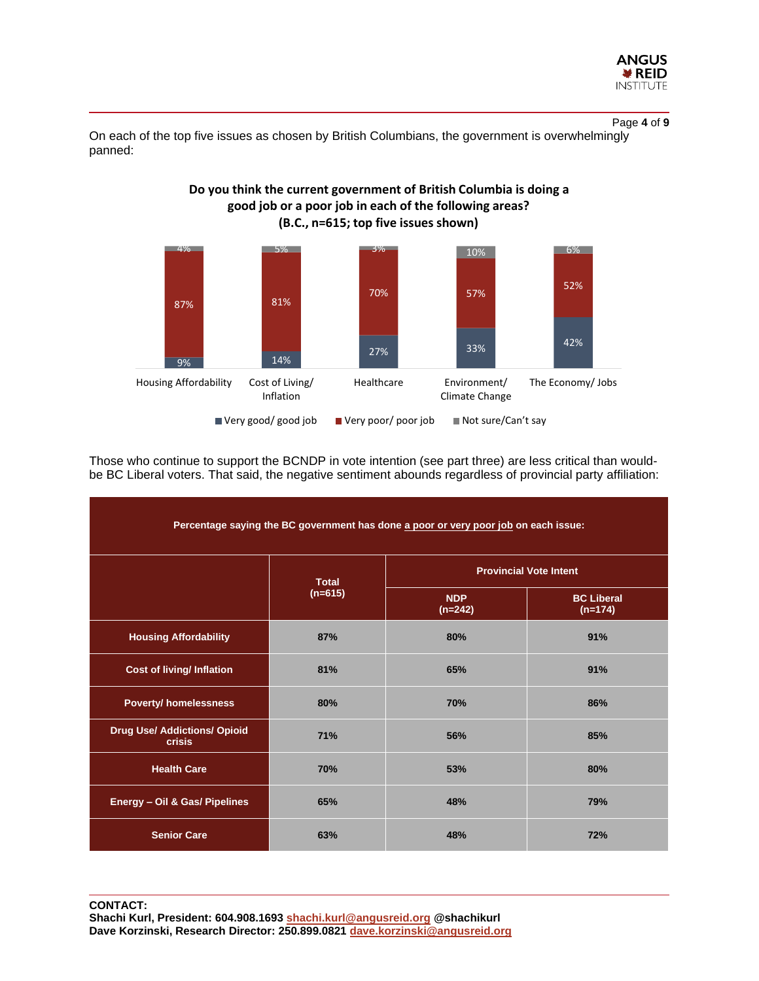

Page **4** of **9**

On each of the top five issues as chosen by British Columbians, the government is overwhelmingly panned:



Those who continue to support the BCNDP in vote intention (see part three) are less critical than wouldbe BC Liberal voters. That said, the negative sentiment abounds regardless of provincial party affiliation:

| Percentage saying the BC government has done a poor or very poor job on each issue: |                           |                               |                                |  |  |  |  |
|-------------------------------------------------------------------------------------|---------------------------|-------------------------------|--------------------------------|--|--|--|--|
|                                                                                     | <b>Total</b><br>$(n=615)$ | <b>Provincial Vote Intent</b> |                                |  |  |  |  |
|                                                                                     |                           | <b>NDP</b><br>$(n=242)$       | <b>BC Liberal</b><br>$(n=174)$ |  |  |  |  |
| <b>Housing Affordability</b>                                                        | 87%                       | 80%                           | 91%                            |  |  |  |  |
| <b>Cost of living/ Inflation</b>                                                    | 81%                       | 65%                           | 91%                            |  |  |  |  |
| <b>Poverty/ homelessness</b>                                                        | 80%                       | 70%                           | 86%                            |  |  |  |  |
| <b>Drug Use/ Addictions/ Opioid</b><br><b>crisis</b>                                | 71%                       | 56%                           | 85%                            |  |  |  |  |
| <b>Health Care</b>                                                                  | <b>70%</b>                | 53%                           | 80%                            |  |  |  |  |
| Energy - Oil & Gas/ Pipelines                                                       | 65%                       | 48%                           | 79%                            |  |  |  |  |
| <b>Senior Care</b>                                                                  | 63%                       | 48%                           | 72%                            |  |  |  |  |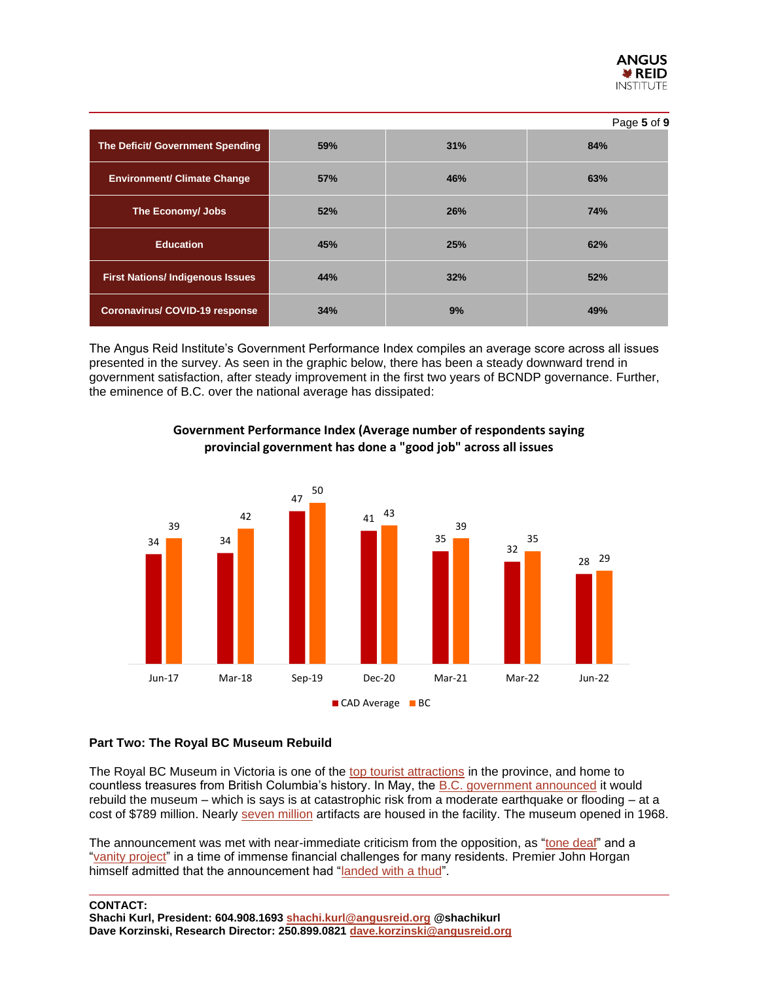

|                                        |     |     | Page 5 of 9 |
|----------------------------------------|-----|-----|-------------|
| The Deficit/ Government Spending       | 59% | 31% | 84%         |
| <b>Environment/ Climate Change</b>     | 57% | 46% | 63%         |
| The Economy/ Jobs                      | 52% | 26% | 74%         |
| <b>Education</b>                       | 45% | 25% | 62%         |
| <b>First Nations/Indigenous Issues</b> | 44% | 32% | 52%         |
| <b>Coronavirus/COVID-19 response</b>   | 34% | 9%  | 49%         |

The Angus Reid Institute's Government Performance Index compiles an average score across all issues presented in the survey. As seen in the graphic below, there has been a steady downward trend in government satisfaction, after steady improvement in the first two years of BCNDP governance. Further, the eminence of B.C. over the national average has dissipated:



# **Government Performance Index (Average number of respondents saying provincial government has done a "good job" across all issues**

#### **Part Two: The Royal BC Museum Rebuild**

The Royal BC Museum in Victoria is one of the [top tourist attractions](https://www.timescolonist.com/local-news/royal-bc-museum-ranked-tops-in-canada-at-online-travel-site-4616010) in the province, and home to countless treasures from British Columbia's history. In May, the [B.C. government announced](https://www.cbc.ca/news/canada/british-columbia/royal-b-c-museum-to-be-rebuilt-at-the-cost-of-789m-1.6452552) it would rebuild the museum – which is says is at catastrophic risk from a moderate earthquake or flooding – at a cost of \$789 million. Nearly [seven million](https://www.cbc.ca/news/canada/british-columbia/royal-b-c-museum-to-be-rebuilt-at-the-cost-of-789m-1.6452552) artifacts are housed in the facility. The museum opened in 1968.

The announcement was met with near-immediate criticism from the opposition, as ["tone deaf"](https://www.cbc.ca/news/canada/british-columbia/royal-bc-museum-renovation-controversy-1.6460371) and a ["vanity project"](https://www.cbc.ca/news/canada/british-columbia/royal-bc-museum-renovation-controversy-1.6460371) in a time of immense financial challenges for many residents. Premier John Horgan himself admitted that the announcement had ["landed with a thud"](https://vancouversun.com/opinion/columnists/vaughn-palmer-horgan-can-only-blame-himself-for-museum-faux-pas).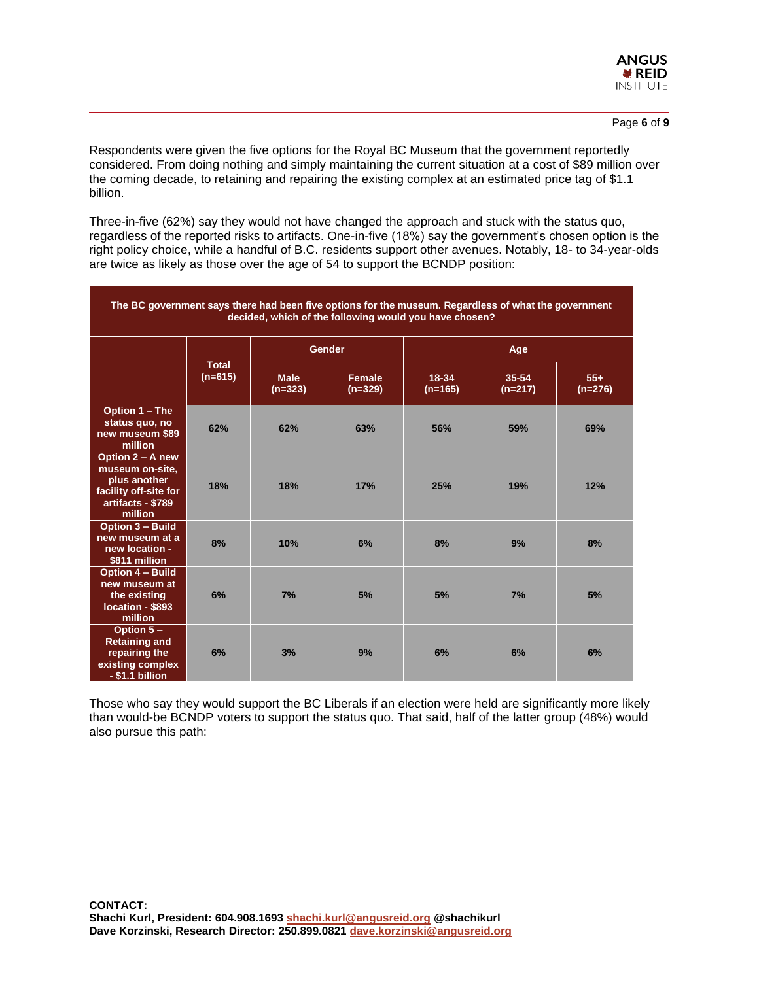

Respondents were given the five options for the Royal BC Museum that the government reportedly considered. From doing nothing and simply maintaining the current situation at a cost of \$89 million over the coming decade, to retaining and repairing the existing complex at an estimated price tag of \$1.1 billion.

Three-in-five (62%) say they would not have changed the approach and stuck with the status quo, regardless of the reported risks to artifacts. One-in-five (18%) say the government's chosen option is the right policy choice, while a handful of B.C. residents support other avenues. Notably, 18- to 34-year-olds are twice as likely as those over the age of 54 to support the BCNDP position:

| The BC government says there had been five options for the museum. Regardless of what the government<br>decided, which of the following would you have chosen? |                           |                          |                     |                    |                    |                    |  |  |  |
|----------------------------------------------------------------------------------------------------------------------------------------------------------------|---------------------------|--------------------------|---------------------|--------------------|--------------------|--------------------|--|--|--|
|                                                                                                                                                                | <b>Total</b><br>$(n=615)$ | Gender                   |                     | Age                |                    |                    |  |  |  |
|                                                                                                                                                                |                           | <b>Male</b><br>$(n=323)$ | Female<br>$(n=329)$ | 18-34<br>$(n=165)$ | 35-54<br>$(n=217)$ | $55+$<br>$(n=276)$ |  |  |  |
| Option 1 - The<br>status quo, no<br>new museum \$89<br>million                                                                                                 | 62%                       | 62%                      | 63%                 | 56%                | 59%                | 69%                |  |  |  |
| Option 2 - A new<br>museum on-site,<br>plus another<br>facility off-site for<br>artifacts - \$789<br>million                                                   | 18%                       | 18%                      | 17%                 | 25%                | 19%                | 12%                |  |  |  |
| <b>Option 3 - Build</b><br>new museum at a<br>new location -<br>\$811 million                                                                                  | 8%                        | 10%                      | 6%                  | 8%                 | 9%                 | 8%                 |  |  |  |
| <b>Option 4 - Build</b><br>new museum at<br>the existing<br>location - \$893<br>million                                                                        | 6%                        | 7%                       | 5%                  | 5%                 | 7%                 | 5%                 |  |  |  |
| Option $5-$<br><b>Retaining and</b><br>repairing the<br>existing complex<br>- \$1.1 billion                                                                    | 6%                        | 3%                       | 9%                  | 6%                 | 6%                 | 6%                 |  |  |  |

Those who say they would support the BC Liberals if an election were held are significantly more likely than would-be BCNDP voters to support the status quo. That said, half of the latter group (48%) would also pursue this path: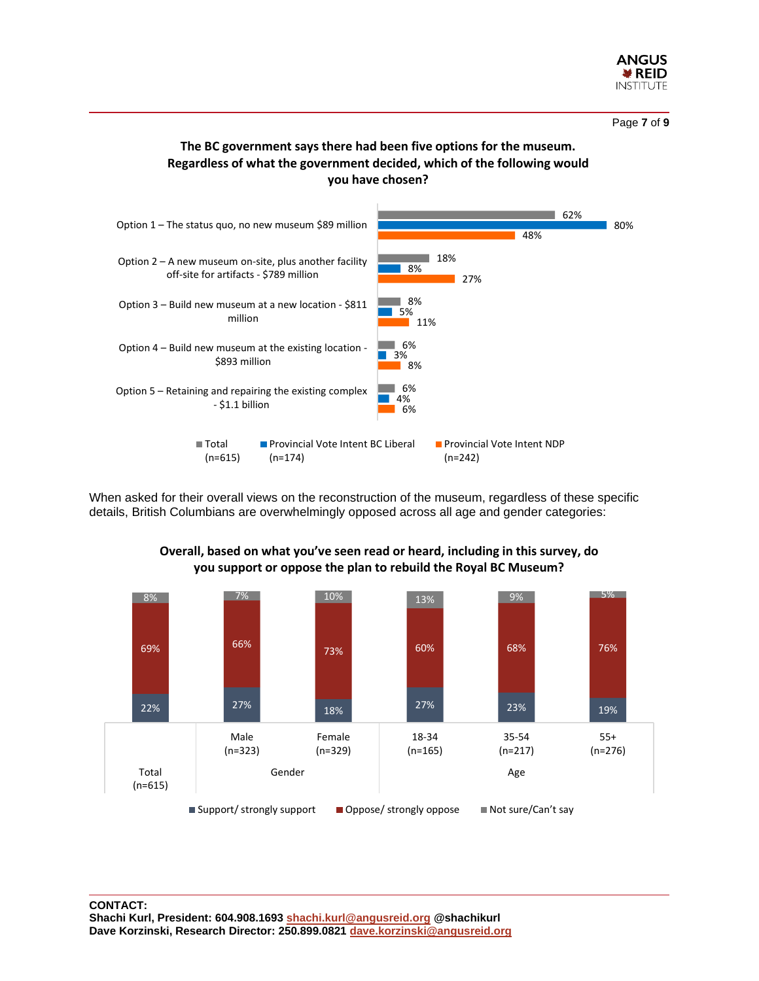

Page **7** of **9**

# **The BC government says there had been five options for the museum. Regardless of what the government decided, which of the following would you have chosen?**



When asked for their overall views on the reconstruction of the museum, regardless of these specific details, British Columbians are overwhelmingly opposed across all age and gender categories:



# **Overall, based on what you've seen read or heard, including in this survey, do you support or oppose the plan to rebuild the Royal BC Museum?**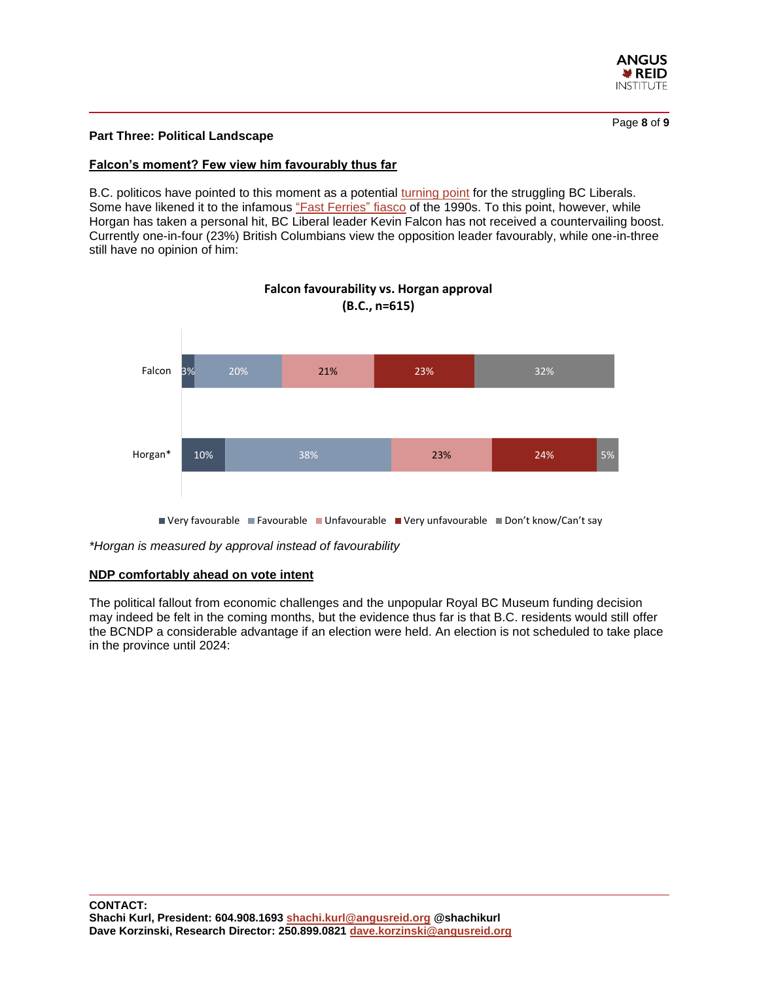

#### **Part Three: Political Landscape**

#### **Falcon's moment? Few view him favourably thus far**

B.C. politicos have pointed to this moment as a potential [turning point](https://www.cbc.ca/news/canada/british-columbia/royal-bc-museum-renovation-controversy-1.6460371) for the struggling BC Liberals. Some have likened it to the infamous ["Fast Ferries"](https://www.cbc.ca/news/canada/british-columbia/bc-fast-ferries-25-years-ndp-wake-1.5186615) fiasco of the 1990s. To this point, however, while Horgan has taken a personal hit, BC Liberal leader Kevin Falcon has not received a countervailing boost. Currently one-in-four (23%) British Columbians view the opposition leader favourably, while one-in-three still have no opinion of him:



# **Falcon favourability vs. Horgan approval (B.C., n=615)**

*\*Horgan is measured by approval instead of favourability*

#### **NDP comfortably ahead on vote intent**

The political fallout from economic challenges and the unpopular Royal BC Museum funding decision may indeed be felt in the coming months, but the evidence thus far is that B.C. residents would still offer the BCNDP a considerable advantage if an election were held. An election is not scheduled to take place in the province until 2024: